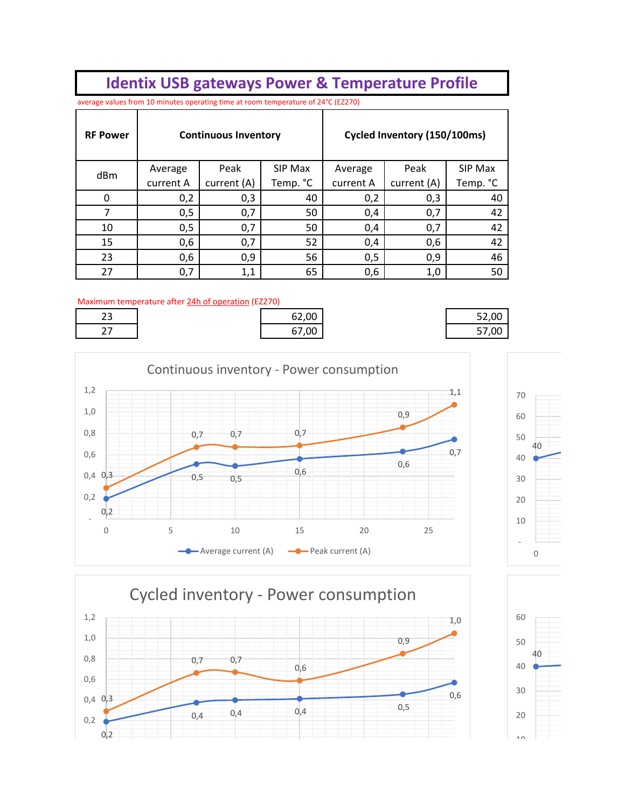## **Identix USB gateways Power & Temperature Profile**

average values from 10 minutes operating time at room temperature of 24°C (EZ270)

| <b>RF Power</b> | <b>Continuous Inventory</b> |             |          |           | Cycled Inventory (150/100ms) |          |
|-----------------|-----------------------------|-------------|----------|-----------|------------------------------|----------|
| dBm             | Average                     | Peak        | SIP Max  | Average   | Peak                         | SIP Max  |
|                 | current A                   | current (A) | Temp. °C | current A | current (A)                  | Temp. °C |
| $\Omega$        | 0,2                         | 0,3         | 40       | 0,2       | 0,3                          | 40       |
|                 | 0,5                         | 0,7         | 50       | 0,4       | 0,7                          | 42       |
| 10              | 0,5                         | 0,7         | 50       | 0,4       | 0,7                          | 42       |
| 15              | 0,6                         | 0,7         | 52       | 0,4       | 0,6                          | 42       |
| 23              | 0,6                         | 0,9         | 56       | 0,5       | 0,9                          | 46       |
| 27              | 0,7                         | 1,1         | 65       | 0,6       | 1,0                          | 50       |

## Maximum temperature after 24h of operation (EZ270)

| $\sim$ $\sim$<br>ت | 62,00 | 52,00 |
|--------------------|-------|-------|
| ~-<br><u>. , </u>  | 67,00 | 57,00 |

| 62,00 |
|-------|
| 67,00 |

| 52,00 |
|-------|
| 57,00 |
|       |





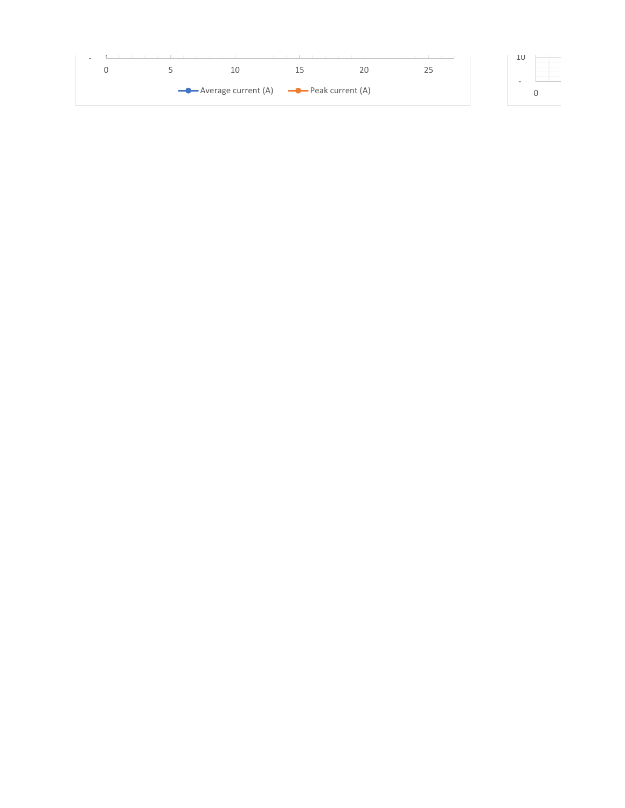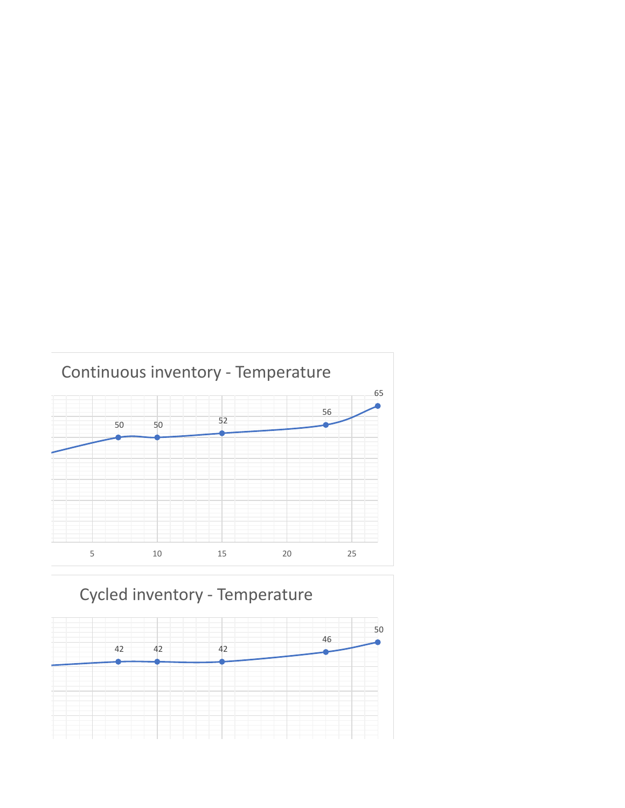

## Cycled inventory - Temperature